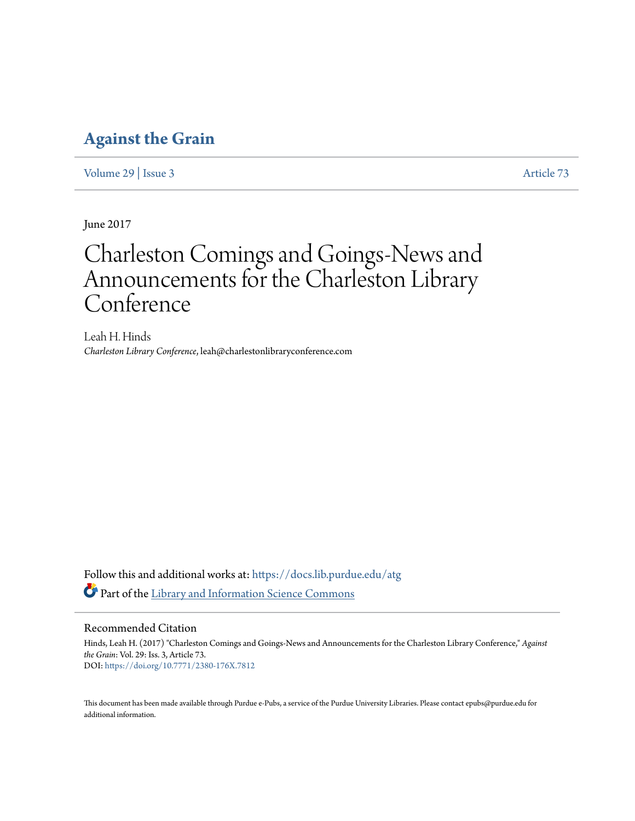### **[Against the Grain](https://docs.lib.purdue.edu/atg?utm_source=docs.lib.purdue.edu%2Fatg%2Fvol29%2Fiss3%2F73&utm_medium=PDF&utm_campaign=PDFCoverPages)**

[Volume 29](https://docs.lib.purdue.edu/atg/vol29?utm_source=docs.lib.purdue.edu%2Fatg%2Fvol29%2Fiss3%2F73&utm_medium=PDF&utm_campaign=PDFCoverPages) | [Issue 3](https://docs.lib.purdue.edu/atg/vol29/iss3?utm_source=docs.lib.purdue.edu%2Fatg%2Fvol29%2Fiss3%2F73&utm_medium=PDF&utm_campaign=PDFCoverPages) [Article 73](https://docs.lib.purdue.edu/atg/vol29/iss3/73?utm_source=docs.lib.purdue.edu%2Fatg%2Fvol29%2Fiss3%2F73&utm_medium=PDF&utm_campaign=PDFCoverPages)

June 2017

## Charleston Comings and Goings-News and Announcements for the Charleston Library Conference

Leah H. Hinds *Charleston Library Conference*, leah@charlestonlibraryconference.com

Follow this and additional works at: [https://docs.lib.purdue.edu/atg](https://docs.lib.purdue.edu/atg?utm_source=docs.lib.purdue.edu%2Fatg%2Fvol29%2Fiss3%2F73&utm_medium=PDF&utm_campaign=PDFCoverPages) Part of the [Library and Information Science Commons](http://network.bepress.com/hgg/discipline/1018?utm_source=docs.lib.purdue.edu%2Fatg%2Fvol29%2Fiss3%2F73&utm_medium=PDF&utm_campaign=PDFCoverPages)

### Recommended Citation

Hinds, Leah H. (2017) "Charleston Comings and Goings-News and Announcements for the Charleston Library Conference," *Against the Grain*: Vol. 29: Iss. 3, Article 73. DOI: <https://doi.org/10.7771/2380-176X.7812>

This document has been made available through Purdue e-Pubs, a service of the Purdue University Libraries. Please contact epubs@purdue.edu for additional information.